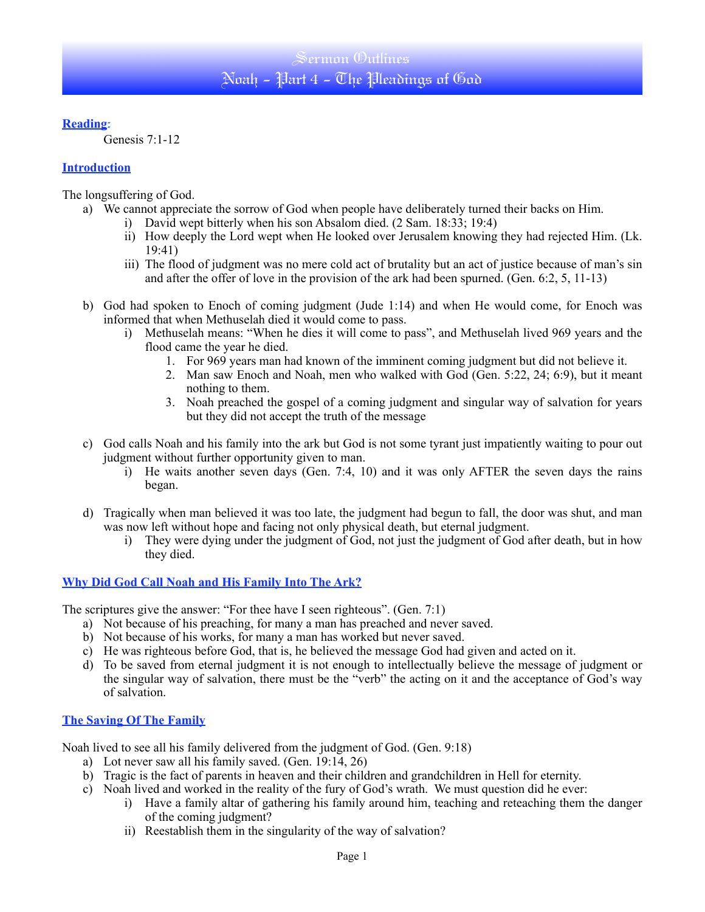# Sermon Outlines Noah - Part 4 - The Pleadings of God

### **Reading**:

Genesis 7:1-12

## **Introduction**

The longsuffering of God.

- a) We cannot appreciate the sorrow of God when people have deliberately turned their backs on Him.
	- i) David wept bitterly when his son Absalom died. (2 Sam. 18:33; 19:4)
	- ii) How deeply the Lord wept when He looked over Jerusalem knowing they had rejected Him. (Lk. 19:41)
	- iii) The flood of judgment was no mere cold act of brutality but an act of justice because of man's sin and after the offer of love in the provision of the ark had been spurned. (Gen. 6:2, 5, 11-13)
	- b) God had spoken to Enoch of coming judgment (Jude 1:14) and when He would come, for Enoch was informed that when Methuselah died it would come to pass.
		- i) Methuselah means: "When he dies it will come to pass", and Methuselah lived 969 years and the flood came the year he died.
			- 1. For 969 years man had known of the imminent coming judgment but did not believe it.
			- 2. Man saw Enoch and Noah, men who walked with God (Gen. 5:22, 24; 6:9), but it meant nothing to them.
			- 3. Noah preached the gospel of a coming judgment and singular way of salvation for years but they did not accept the truth of the message
	- c) God calls Noah and his family into the ark but God is not some tyrant just impatiently waiting to pour out judgment without further opportunity given to man.
		- i) He waits another seven days (Gen. 7:4, 10) and it was only AFTER the seven days the rains began.
	- d) Tragically when man believed it was too late, the judgment had begun to fall, the door was shut, and man was now left without hope and facing not only physical death, but eternal judgment.
		- i) They were dying under the judgment of God, not just the judgment of God after death, but in how they died.

## **Why Did God Call Noah and His Family Into The Ark?**

The scriptures give the answer: "For thee have I seen righteous". (Gen. 7:1)

- a) Not because of his preaching, for many a man has preached and never saved.
- b) Not because of his works, for many a man has worked but never saved.
- c) He was righteous before God, that is, he believed the message God had given and acted on it.
- d) To be saved from eternal judgment it is not enough to intellectually believe the message of judgment or the singular way of salvation, there must be the "verb" the acting on it and the acceptance of God's way of salvation.

## **The Saving Of The Family**

Noah lived to see all his family delivered from the judgment of God. (Gen. 9:18)

- a) Lot never saw all his family saved. (Gen. 19:14, 26)
- b) Tragic is the fact of parents in heaven and their children and grandchildren in Hell for eternity.
- c) Noah lived and worked in the reality of the fury of God's wrath. We must question did he ever:
	- i) Have a family altar of gathering his family around him, teaching and reteaching them the danger of the coming judgment?
	- ii) Reestablish them in the singularity of the way of salvation?